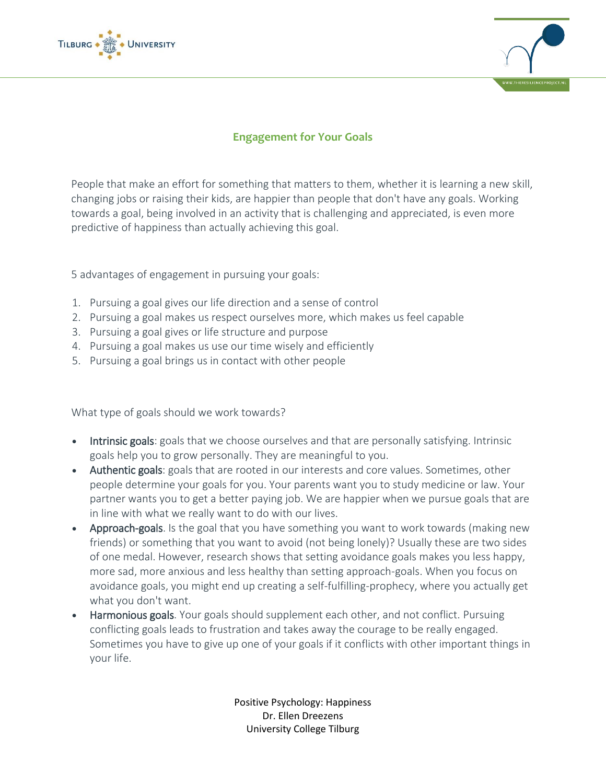



## **Engagement for Your Goals**

People that make an effort for something that matters to them, whether it is learning a new skill, changing jobs or raising their kids, are happier than people that don't have any goals. Working towards a goal, being involved in an activity that is challenging and appreciated, is even more predictive of happiness than actually achieving this goal.

5 advantages of engagement in pursuing your goals:

- 1. Pursuing a goal gives our life direction and a sense of control
- 2. Pursuing a goal makes us respect ourselves more, which makes us feel capable
- 3. Pursuing a goal gives or life structure and purpose
- 4. Pursuing a goal makes us use our time wisely and efficiently
- 5. Pursuing a goal brings us in contact with other people

What type of goals should we work towards?

- Intrinsic goals: goals that we choose ourselves and that are personally satisfying. Intrinsic goals help you to grow personally. They are meaningful to you.
- Authentic goals: goals that are rooted in our interests and core values. Sometimes, other people determine your goals for you. Your parents want you to study medicine or law. Your partner wants you to get a better paying job. We are happier when we pursue goals that are in line with what we really want to do with our lives.
- Approach-goals. Is the goal that you have something you want to work towards (making new friends) or something that you want to avoid (not being lonely)? Usually these are two sides of one medal. However, research shows that setting avoidance goals makes you less happy, more sad, more anxious and less healthy than setting approach-goals. When you focus on avoidance goals, you might end up creating a self-fulfilling-prophecy, where you actually get what you don't want.
- Harmonious goals. Your goals should supplement each other, and not conflict. Pursuing conflicting goals leads to frustration and takes away the courage to be really engaged. Sometimes you have to give up one of your goals if it conflicts with other important things in your life.

Positive Psychology: Happiness Dr. Ellen Dreezens University College Tilburg